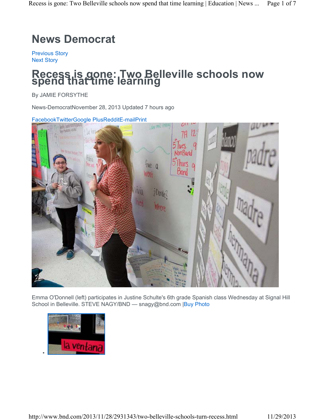## **News Democrat**

Previous Story Next Story

# **Recess is gone: Two Belleville schools now spend that time learning**

By JAMIE FORSYTHE

News-DemocratNovember 28, 2013 Updated 7 hours ago



Emma O'Donnell (left) participates in Justine Schulte's 6th grade Spanish class Wednesday at Signal Hill School in Belleville. STEVE NAGY/BND - snagy@bnd.com |Buy Photo

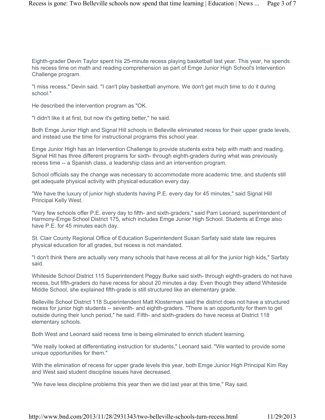Eighth-grader Devin Taylor spent his 25-minute recess playing basketball last year. This year, he spends his recess time on math and reading comprehension as part of Emge Junior High School's Intervention Challenge program.

"I miss recess," Devin said. "I can't play basketball anymore. We don't get much time to do it during school."

He described the intervention program as "OK.

"I didn't like it at first, but now it's getting better," he said.

Both Emge Junior High and Signal Hill schools in Belleville eliminated recess for their upper grade levels, and instead use the time for instructional programs this school year.

Emge Junior High has an Intervention Challenge to provide students extra help with math and reading. Signal Hill has three different programs for sixth- through eighth-graders during what was previously recess time -- a Spanish class, a leadership class and an intervention program.

School officials say the change was necessary to accommodate more academic time, and students still get adequate physical activity with physical education every day.

"We have the luxury of junior high students having P.E. every day for 45 minutes," said Signal Hill Principal Kelly West.

"Very few schools offer P.E. every day to fifth- and sixth-graders," said Pam Leonard, superintendent of Harmony-Emge School District 175, which includes Emge Junior High School. Students at Emge also have P.E. for 45 minutes each day.

St. Clair County Regional Office of Education Superintendent Susan Sarfaty said state law requires physical education for all grades, but recess is not mandated.

"I don't think there are actually very many schools that have recess at all for the junior high kids," Sarfaty said.

Whiteside School District 115 Superintendent Peggy Burke said sixth- through eighth-graders do not have recess, but fifth-graders do have recess for about 20 minutes a day. Even though they attend Whiteside Middle School, she explained fifth-grade is still structured like an elementary grade.

Belleville School District 118 Superintendent Matt Klosterman said the district does not have a structured recess for junior high students -- seventh- and eighth-graders. "There is an opportunity for them to get outside during their lunch period," he said. Fifth- and sixth-graders do have recess at District 118 elementary schools.

Both West and Leonard said recess time is being eliminated to enrich student learning.

"We really looked at differentiating instruction for students," Leonard said. "We wanted to provide some unique opportunities for them."

With the elimination of recess for upper grade levels this year, both Emge Junior High Principal Kim Ray and West said student discipline issues have decreased.

"We have less discipline problems this year then we did last year at this time," Ray said.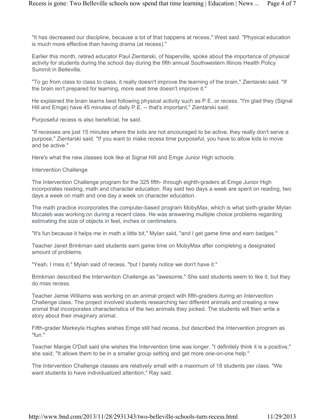"It has decreased our discipline, because a lot of that happens at recess," West said. "Physical education is much more effective than having drama (at recess)."

Earlier this month, retired educator Paul Zientarski, of Naperville, spoke about the importance of physical activity for students during the school day during the fifth annual Southwestern Illinois Health Policy Summit in Belleville.

"To go from class to class to class, it really doesn't improve the learning of the brain," Zientarski said. "If the brain isn't prepared for learning, more seat time doesn't improve it."

He explained the brain learns best following physical activity such as P.E. or recess. "I'm glad they (Signal Hill and Emge) have 45 minutes of daily P.E. -- that's important," Zientarski said.

Purposeful recess is also beneficial, he said.

"If recesses are just 15 minutes where the kids are not encouraged to be active, they really don't serve a purpose," Zientarski said. "If you want to make recess time purposeful, you have to allow kids to move and be active."

Here's what the new classes look like at Signal Hill and Emge Junior High schools:

#### Intervention Challenge

The Intervention Challenge program for the 325 fifth- through eighth-graders at Emge Junior High incorporates reading, math and character education. Ray said two days a week are spent on reading, two days a week on math and one day a week on character education.

The math practice incorporates the computer-based program MobyMax, which is what sixth-grader Mylan Mccaleb was working on during a recent class. He was answering multiple choice problems regarding estimating the size of objects in feet, inches or centimeters.

"It's fun because it helps me in math a little bit," Mylan said, "and I get game time and earn badges."

Teacher Janet Brinkman said students earn game time on MobyMax after completing a designated amount of problems.

"Yeah, I miss it," Mylan said of recess, "but I barely notice we don't have it."

Brinkman described the Intervention Challenge as "awesome." She said students seem to like it, but they do miss recess.

Teacher Jamie Williams was working on an animal project with fifth-graders during an Intervention Challenge class. The project involved students researching two different animals and creating a new animal that incorporates characteristics of the two animals they picked. The students will then write a story about their imaginary animal.

Fifth-grader Markeyla Hughes wishes Emge still had recess, but described the Intervention program as "fun."

Teacher Margie O'Dell said she wishes the Intervention time was longer. "I definitely think it is a positive," she said. "It allows them to be in a smaller group setting and get more one-on-one help."

The Intervention Challenge classes are relatively small with a maximum of 18 students per class. "We want students to have individualized attention," Ray said.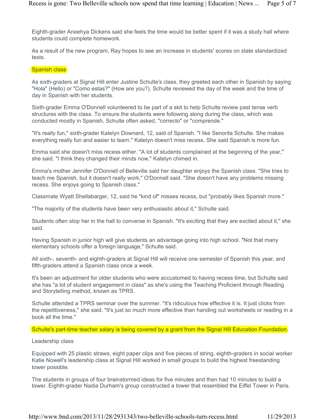Eighth-grader Aneehya Dickens said she feels the time would be better spent if it was a study hall where students could complete homework.

As a result of the new program, Ray hopes to see an increase in students' scores on state standardized tests.

#### Spanish class

As sixth-graders at Signal Hill enter Justine Schulte's class, they greeted each other in Spanish by saying "Hola" (Hello) or "Como estas?" (How are you?). Schulte reviewed the day of the week and the time of day in Spanish with her students.

Sixth-grader Emma O'Donnell volunteered to be part of a skit to help Schulte review past tense verb structures with the class. To ensure the students were following along during the class, which was conducted mostly in Spanish, Schulte often asked, "correcto" or "comprende."

"It's really fun," sixth-grader Katelyn Downard, 12, said of Spanish. "I like Senorita Schulte. She makes everything really fun and easier to learn." Katelyn doesn't miss recess. She said Spanish is more fun.

Emma said she doesn't miss recess either. "A lot of students complained at the beginning of the year," she said. "I think they changed their minds now," Katelyn chimed in.

Emma's mother Jennifer O'Donnell of Belleville said her daughter enjoys the Spanish class. "She tries to teach me Spanish, but it doesn't really work," O'Donnell said. "She doesn't have any problems missing recess. She enjoys going to Spanish class."

Classmate Wyatt Shellabarger, 12, said he "kind of" misses recess, but "probably likes Spanish more."

"The majority of the students have been very enthusiastic about it," Schulte said.

Students often stop her in the hall to converse in Spanish. "It's exciting that they are excited about it," she said.

Having Spanish in junior high will give students an advantage going into high school. "Not that many elementary schools offer a foreign language," Schulte said.

All sixth-, seventh- and eighth-graders at Signal Hill will receive one semester of Spanish this year, and fifth-graders attend a Spanish class once a week.

It's been an adjustment for older students who were accustomed to having recess time, but Schulte said she has "a lot of student engagement in class" as she's using the Teaching Proficient through Reading and Storytelling method, known as TPRS.

Schulte attended a TPRS seminar over the summer. "It's ridiculous how effective it is. It just clicks from the repetitiveness," she said. "It's just so much more effective than handing out worksheets or reading in a book all the time."

#### Schulte's part-time teacher salary is being covered by a grant from the Signal Hill Education Foundation.

#### Leadership class

Equipped with 25 plastic straws, eight paper clips and five pieces of string, eighth-graders in social worker Katie Nowell's leadership class at Signal Hill worked in small groups to build the highest freestanding tower possible.

The students in groups of four brainstormed ideas for five minutes and then had 10 minutes to build a tower. Eighth-grader Nadia Durham's group constructed a tower that resembled the Eiffel Tower in Paris.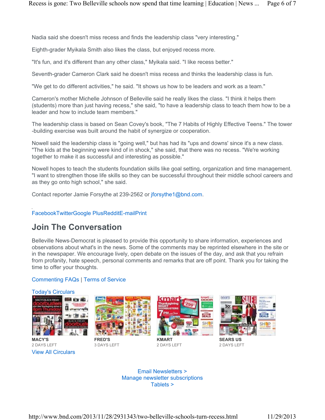Nadia said she doesn't miss recess and finds the leadership class "very interesting."

Eighth-grader Myikala Smith also likes the class, but enjoyed recess more.

"It's fun, and it's different than any other class," Myikala said. "I like recess better."

Seventh-grader Cameron Clark said he doesn't miss recess and thinks the leadership class is fun.

"We get to do different activities," he said. "It shows us how to be leaders and work as a team."

Cameron's mother Michelle Johnson of Belleville said he really likes the class. "I think it helps them (students) more than just having recess," she said, "to have a leadership class to teach them how to be a leader and how to include team members."

The leadership class is based on Sean Covey's book, "The 7 Habits of Highly Effective Teens." The tower -building exercise was built around the habit of synergize or cooperation.

Nowell said the leadership class is "going well," but has had its "ups and downs' since it's a new class. "The kids at the beginning were kind of in shock," she said, that there was no recess. "We're working together to make it as successful and interesting as possible."

Nowell hopes to teach the students foundation skills like goal setting, organization and time management. "I want to strengthen those life skills so they can be successful throughout their middle school careers and as they go onto high school," she said.

Contact reporter Jamie Forsythe at 239-2562 or jforsythe1@bnd.com.

#### FacebookTwitterGoogle PlusRedditE-mailPrint

### **Join The Conversation**

Belleville News-Democrat is pleased to provide this opportunity to share information, experiences and observations about what's in the news. Some of the comments may be reprinted elsewhere in the site or in the newspaper. We encourage lively, open debate on the issues of the day, and ask that you refrain from profanity, hate speech, personal comments and remarks that are off point. Thank you for taking the time to offer your thoughts.

#### Commenting FAQs | Terms of Service



View All Circulars **MACY'S** 2 DAYS LEFT



3 DAYS LEFT



**KMART** 2 DAYS LEFT



**SEARS US** 2 DAYS LEFT

Email Newsletters > Manage newsletter subscriptions Tablets >